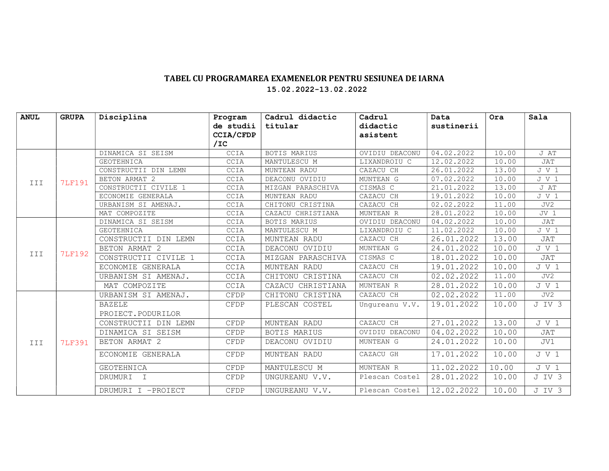## TABEL CU PROGRAMAREA EXAMENELOR PENTRU SESIUNEA DE IARNA 15.02.2022-13.02.2022

| <b>ANUL</b> | <b>GRUPA</b>  | Disciplina           | Program     | Cadrul didactic   | Cadrul         | Data       | Ora   | Sala            |
|-------------|---------------|----------------------|-------------|-------------------|----------------|------------|-------|-----------------|
|             |               |                      | de studii   | titular           | didactic       | sustinerii |       |                 |
|             |               |                      | CCIA/CFDP   |                   | asistent       |            |       |                 |
|             |               |                      | /IC         |                   |                |            |       |                 |
| III         | <b>7LF191</b> | DINAMICA SI SEISM    | CCIA        | BOTIS MARIUS      | OVIDIU DEACONU | 04.02.2022 | 10.00 | J AT            |
|             |               | <b>GEOTEHNICA</b>    | CCIA        | MANTULESCU M      | LIXANDROIU C   | 12.02.2022 | 10.00 | JAT             |
|             |               | CONSTRUCTII DIN LEMN | <b>CCIA</b> | MUNTEAN RADU      | CAZACU CH      | 26.01.2022 | 13.00 | JV1             |
|             |               | BETON ARMAT 2        | CCIA        | DEACONU OVIDIU    | MUNTEAN G      | 07.02.2022 | 10.00 | J V 1           |
|             |               | CONSTRUCTII CIVILE 1 | CCIA        | MIZGAN PARASCHIVA | CISMAS C       | 21.01.2022 | 13.00 | J AT            |
|             |               | ECONOMIE GENERALA    | CCIA        | MUNTEAN RADU      | CAZACU CH      | 19.01.2022 | 10.00 | J V 1           |
|             |               | URBANISM SI AMENAJ.  | CCIA        | CHITONU CRISTINA  | CAZACU CH      | 02.02.2022 | 11.00 | JV2             |
|             |               | MAT COMPOZITE        | CCIA        | CAZACU CHRISTIANA | MUNTEAN R      | 28.01.2022 | 10.00 | JV <sub>1</sub> |
| III         | <b>7LF192</b> | DINAMICA SI SEISM    | CCIA        | BOTIS MARIUS      | OVIDIU DEACONU | 04.02.2022 | 10.00 | JAT             |
|             |               | <b>GEOTEHNICA</b>    | CCIA        | MANTULESCU M      | LIXANDROIU C   | 11.02.2022 | 10.00 | J V 1           |
|             |               | CONSTRUCTII DIN LEMN | CCIA        | MUNTEAN RADU      | CAZACU CH      | 26.01.2022 | 13.00 | JAT             |
|             |               | BETON ARMAT 2        | CCIA        | DEACONU OVIDIU    | MUNTEAN G      | 24.01.2022 | 10.00 | J V 1           |
|             |               | CONSTRUCTII CIVILE 1 | CCIA        | MIZGAN PARASCHIVA | CISMAS C       | 18.01.2022 | 10.00 | JAT             |
|             |               | ECONOMIE GENERALA    | CCIA        | MUNTEAN RADU      | CAZACU CH      | 19.01.2022 | 10.00 | J V 1           |
|             |               | URBANISM SI AMENAJ.  | CCIA        | CHITONU CRISTINA  | CAZACU CH      | 02.02.2022 | 11.00 | JV2             |
|             |               | MAT COMPOZITE        | CCIA        | CAZACU CHRISTIANA | MUNTEAN R      | 28.01.2022 | 10.00 | J V 1           |
| III         | <b>7LF391</b> | URBANISM SI AMENAJ.  | CFDP        | CHITONU CRISTINA  | CAZACU CH      | 02.02.2022 | 11.00 | JV2             |
|             |               | <b>BAZELE</b>        | CFDP        | PLESCAN COSTEL    | Unqureanu V.V. | 19.01.2022 | 10.00 | J IV 3          |
|             |               | PROIECT. PODURILOR   |             |                   |                |            |       |                 |
|             |               | CONSTRUCTII DIN LEMN | CFDP        | MUNTEAN RADU      | CAZACU CH      | 27.01.2022 | 13.00 | J V 1           |
|             |               | DINAMICA SI SEISM    | CFDP        | BOTIS MARIUS      | OVIDIU DEACONU | 04.02.2022 | 10.00 | JAT             |
|             |               | BETON ARMAT 2        | CFDP        | DEACONU OVIDIU    | MUNTEAN G      | 24.01.2022 | 10.00 | JV1             |
|             |               | ECONOMIE GENERALA    | CFDP        | MUNTEAN RADU      | CAZACU GH      | 17.01.2022 | 10.00 | J V 1           |
|             |               | <b>GEOTEHNICA</b>    | CFDP        | MANTULESCU M      | MUNTEAN R      | 11.02.2022 | 10.00 | J V 1           |
|             |               | DRUMURI I            | CFDP        | UNGUREANU V.V.    | Plescan Costel | 28.01.2022 | 10.00 | J IV 3          |
|             |               | DRUMURI I -PROIECT   | CFDP        | UNGUREANU V.V.    | Plescan Costel | 12.02.2022 | 10.00 | J IV 3          |